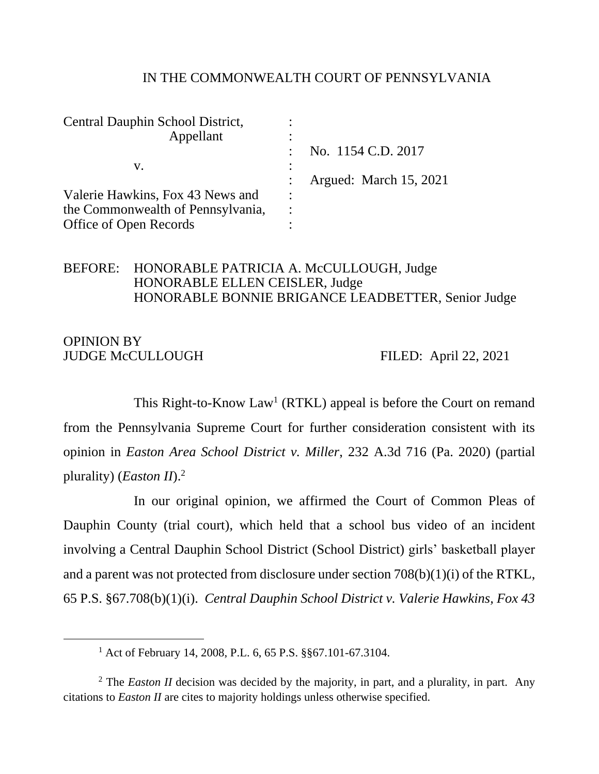#### IN THE COMMONWEALTH COURT OF PENNSYLVANIA

| Central Dauphin School District,  |           |                        |
|-----------------------------------|-----------|------------------------|
| Appellant                         |           |                        |
|                                   |           | No. 1154 C.D. 2017     |
| v.                                |           |                        |
|                                   |           | Argued: March 15, 2021 |
| Valerie Hawkins, Fox 43 News and  | $\bullet$ |                        |
| the Commonwealth of Pennsylvania, |           |                        |
| Office of Open Records            |           |                        |

## BEFORE: HONORABLE PATRICIA A. McCULLOUGH, Judge HONORABLE ELLEN CEISLER, Judge HONORABLE BONNIE BRIGANCE LEADBETTER, Senior Judge

### OPINION BY JUDGE McCULLOUGH FILED: April 22, 2021

This Right-to-Know Law<sup>1</sup> (RTKL) appeal is before the Court on remand from the Pennsylvania Supreme Court for further consideration consistent with its opinion in *Easton Area School District v. Miller*, 232 A.3d 716 (Pa. 2020) (partial plurality) (*Easton II*). 2

In our original opinion, we affirmed the Court of Common Pleas of Dauphin County (trial court), which held that a school bus video of an incident involving a Central Dauphin School District (School District) girls' basketball player and a parent was not protected from disclosure under section 708(b)(1)(i) of the RTKL, 65 P.S. §67.708(b)(1)(i). *Central Dauphin School District v. Valerie Hawkins, Fox 43* 

<sup>1</sup> Act of February 14, 2008, P.L. 6, 65 P.S. §§67.101-67.3104.

<sup>&</sup>lt;sup>2</sup> The *Easton II* decision was decided by the majority, in part, and a plurality, in part. Any citations to *Easton II* are cites to majority holdings unless otherwise specified.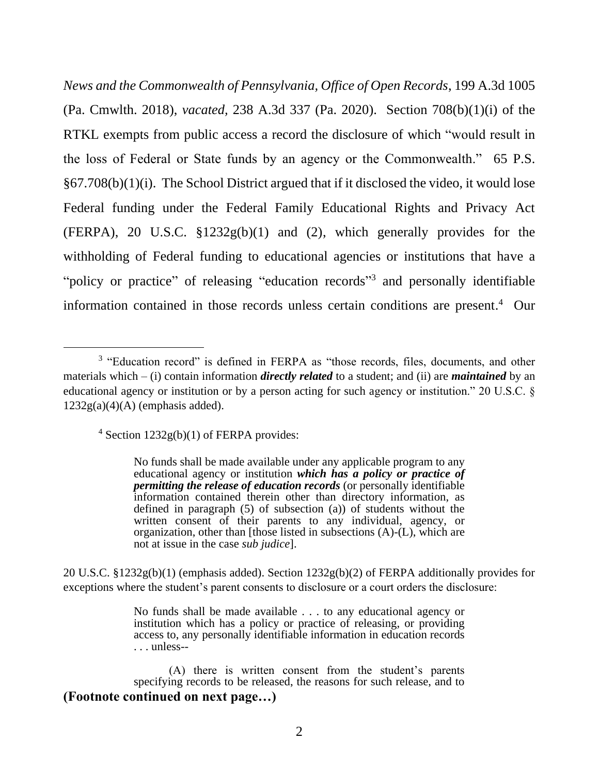*News and the Commonwealth of Pennsylvania, Office of Open Records*, 199 A.3d 1005 (Pa. Cmwlth. 2018), *vacated,* 238 A.3d 337 (Pa. 2020). Section 708(b)(1)(i) of the RTKL exempts from public access a record the disclosure of which "would result in the loss of Federal or State funds by an agency or the Commonwealth." 65 P.S. §67.708(b)(1)(i). The School District argued that if it disclosed the video, it would lose Federal funding under the Federal Family Educational Rights and Privacy Act (FERPA), 20 U.S.C.  $\S 1232g(b)(1)$  and (2), which generally provides for the withholding of Federal funding to educational agencies or institutions that have a "policy or practice" of releasing "education records"<sup>3</sup> and personally identifiable information contained in those records unless certain conditions are present. 4 Our

 $4$  Section 1232g(b)(1) of FERPA provides:

20 U.S.C. §1232g(b)(1) (emphasis added). Section 1232g(b)(2) of FERPA additionally provides for exceptions where the student's parent consents to disclosure or a court orders the disclosure:

<sup>&</sup>lt;sup>3</sup> "Education record" is defined in FERPA as "those records, files, documents, and other materials which – (i) contain information *directly related* to a student; and (ii) are *maintained* by an educational agency or institution or by a person acting for such agency or institution." 20 U.S.C. §  $1232g(a)(4)(A)$  (emphasis added).

No funds shall be made available under any applicable program to any educational agency or institution *which has a policy or practice of permitting the release of education records* (or personally identifiable information contained therein other than directory information, as defined in paragraph (5) of subsection (a)) of students without the written consent of their parents to any individual, agency, or organization, other than [those listed in subsections (A)-(L), which are not at issue in the case *sub judice*].

No funds shall be made available . . . to any educational agency or institution which has a policy or practice of releasing, or providing access to, any personally identifiable information in education records . . . unless--

<sup>(</sup>A) there is written consent from the student's parents specifying records to be released, the reasons for such release, and to **(Footnote continued on next page…)**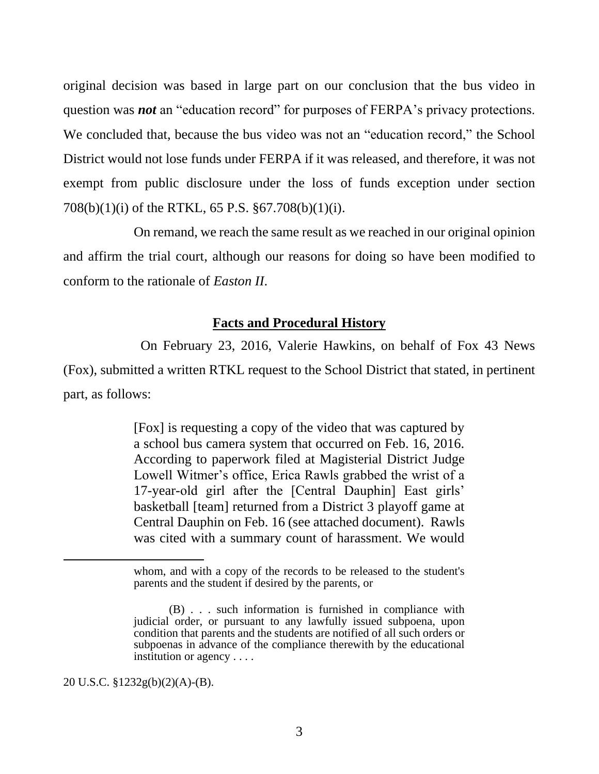original decision was based in large part on our conclusion that the bus video in question was *not* an "education record" for purposes of FERPA's privacy protections. We concluded that, because the bus video was not an "education record," the School District would not lose funds under FERPA if it was released, and therefore, it was not exempt from public disclosure under the loss of funds exception under section 708(b)(1)(i) of the RTKL, 65 P.S. §67.708(b)(1)(i).

On remand, we reach the same result as we reached in our original opinion and affirm the trial court, although our reasons for doing so have been modified to conform to the rationale of *Easton II*.

## **Facts and Procedural History**

 On February 23, 2016, Valerie Hawkins, on behalf of Fox 43 News (Fox), submitted a written RTKL request to the School District that stated, in pertinent part, as follows:

> [Fox] is requesting a copy of the video that was captured by a school bus camera system that occurred on Feb. 16, 2016. According to paperwork filed at Magisterial District Judge Lowell Witmer's office, Erica Rawls grabbed the wrist of a 17-year-old girl after the [Central Dauphin] East girls' basketball [team] returned from a District 3 playoff game at Central Dauphin on Feb. 16 (see attached document). Rawls was cited with a summary count of harassment. We would

20 U.S.C. §1232g(b)(2)(A)-(B).

whom, and with a copy of the records to be released to the student's parents and the student if desired by the parents, or

<sup>(</sup>B) . . . such information is furnished in compliance with judicial order, or pursuant to any lawfully issued subpoena, upon condition that parents and the students are notified of all such orders or subpoenas in advance of the compliance therewith by the educational institution or agency . . . .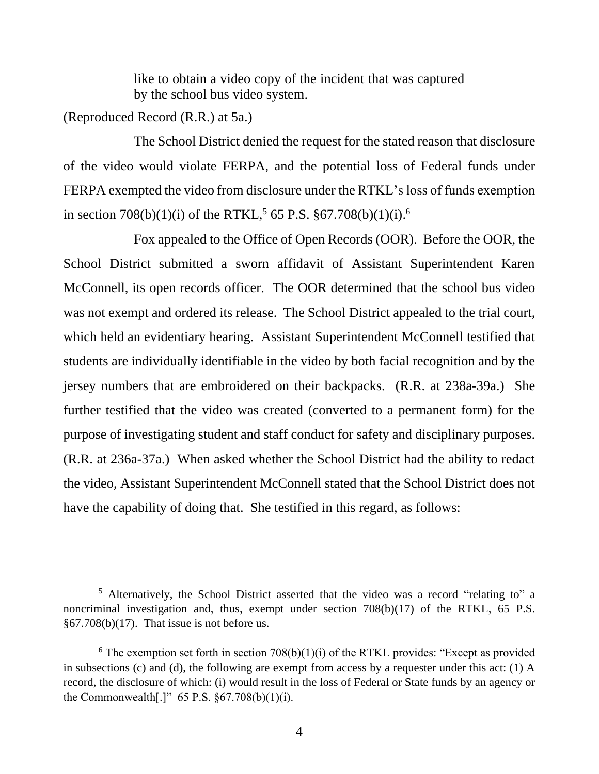like to obtain a video copy of the incident that was captured by the school bus video system.

(Reproduced Record (R.R.) at 5a.)

The School District denied the request for the stated reason that disclosure of the video would violate FERPA, and the potential loss of Federal funds under FERPA exempted the video from disclosure under the RTKL's loss of funds exemption in section 708(b)(1)(i) of the RTKL,<sup>5</sup> 65 P.S.  $\S 67.708(b)(1)(i)$ .<sup>6</sup>

Fox appealed to the Office of Open Records (OOR). Before the OOR, the School District submitted a sworn affidavit of Assistant Superintendent Karen McConnell, its open records officer. The OOR determined that the school bus video was not exempt and ordered its release. The School District appealed to the trial court, which held an evidentiary hearing. Assistant Superintendent McConnell testified that students are individually identifiable in the video by both facial recognition and by the jersey numbers that are embroidered on their backpacks. (R.R. at 238a-39a.) She further testified that the video was created (converted to a permanent form) for the purpose of investigating student and staff conduct for safety and disciplinary purposes. (R.R. at 236a-37a.) When asked whether the School District had the ability to redact the video, Assistant Superintendent McConnell stated that the School District does not have the capability of doing that. She testified in this regard, as follows:

<sup>5</sup> Alternatively, the School District asserted that the video was a record "relating to" a noncriminal investigation and, thus, exempt under section 708(b)(17) of the RTKL, 65 P.S.  $§67.708(b)(17)$ . That issue is not before us.

 $6$  The exemption set forth in section 708(b)(1)(i) of the RTKL provides: "Except as provided in subsections (c) and (d), the following are exempt from access by a requester under this act: (1) A record, the disclosure of which: (i) would result in the loss of Federal or State funds by an agency or the Commonwealth[.]" 65 P.S.  $\S 67.708(b)(1)(i)$ .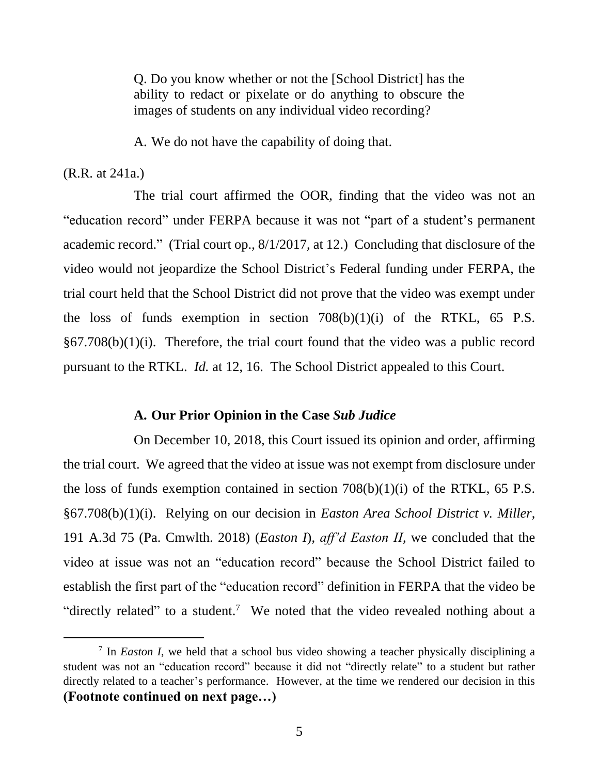Q. Do you know whether or not the [School District] has the ability to redact or pixelate or do anything to obscure the images of students on any individual video recording?

A. We do not have the capability of doing that.

#### (R.R. at 241a.)

The trial court affirmed the OOR, finding that the video was not an "education record" under FERPA because it was not "part of a student's permanent academic record." (Trial court op., 8/1/2017, at 12.) Concluding that disclosure of the video would not jeopardize the School District's Federal funding under FERPA, the trial court held that the School District did not prove that the video was exempt under the loss of funds exemption in section  $708(b)(1)(i)$  of the RTKL, 65 P.S.  $§67.708(b)(1)(i)$ . Therefore, the trial court found that the video was a public record pursuant to the RTKL. *Id.* at 12, 16. The School District appealed to this Court.

## **A. Our Prior Opinion in the Case** *Sub Judice*

On December 10, 2018, this Court issued its opinion and order, affirming the trial court. We agreed that the video at issue was not exempt from disclosure under the loss of funds exemption contained in section  $708(b)(1)(i)$  of the RTKL, 65 P.S. §67.708(b)(1)(i). Relying on our decision in *Easton Area School District v. Miller*, 191 A.3d 75 (Pa. Cmwlth. 2018) (*Easton I*), *aff'd Easton II*, we concluded that the video at issue was not an "education record" because the School District failed to establish the first part of the "education record" definition in FERPA that the video be "directly related" to a student.<sup>7</sup> We noted that the video revealed nothing about a

<sup>&</sup>lt;sup>7</sup> In *Easton I*, we held that a school bus video showing a teacher physically disciplining a student was not an "education record" because it did not "directly relate" to a student but rather directly related to a teacher's performance. However, at the time we rendered our decision in this **(Footnote continued on next page…)**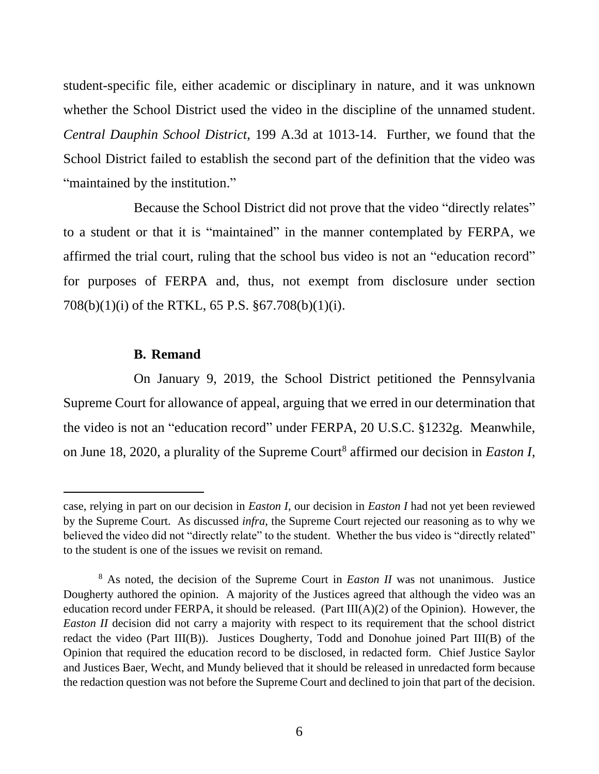student-specific file, either academic or disciplinary in nature, and it was unknown whether the School District used the video in the discipline of the unnamed student. *Central Dauphin School District*, 199 A.3d at 1013-14. Further, we found that the School District failed to establish the second part of the definition that the video was "maintained by the institution."

Because the School District did not prove that the video "directly relates" to a student or that it is "maintained" in the manner contemplated by FERPA, we affirmed the trial court, ruling that the school bus video is not an "education record" for purposes of FERPA and, thus, not exempt from disclosure under section 708(b)(1)(i) of the RTKL, 65 P.S. §67.708(b)(1)(i).

#### **B. Remand**

On January 9, 2019, the School District petitioned the Pennsylvania Supreme Court for allowance of appeal, arguing that we erred in our determination that the video is not an "education record" under FERPA, 20 U.S.C. §1232g. Meanwhile, on June 18, 2020, a plurality of the Supreme Court<sup>8</sup> affirmed our decision in *Easton I*,

case, relying in part on our decision in *Easton I*, our decision in *Easton I* had not yet been reviewed by the Supreme Court. As discussed *infra*, the Supreme Court rejected our reasoning as to why we believed the video did not "directly relate" to the student. Whether the bus video is "directly related" to the student is one of the issues we revisit on remand.

<sup>8</sup> As noted, the decision of the Supreme Court in *Easton II* was not unanimous. Justice Dougherty authored the opinion. A majority of the Justices agreed that although the video was an education record under FERPA, it should be released. (Part III(A)(2) of the Opinion). However, the *Easton II* decision did not carry a majority with respect to its requirement that the school district redact the video (Part III(B)). Justices Dougherty, Todd and Donohue joined Part III(B) of the Opinion that required the education record to be disclosed, in redacted form. Chief Justice Saylor and Justices Baer, Wecht, and Mundy believed that it should be released in unredacted form because the redaction question was not before the Supreme Court and declined to join that part of the decision.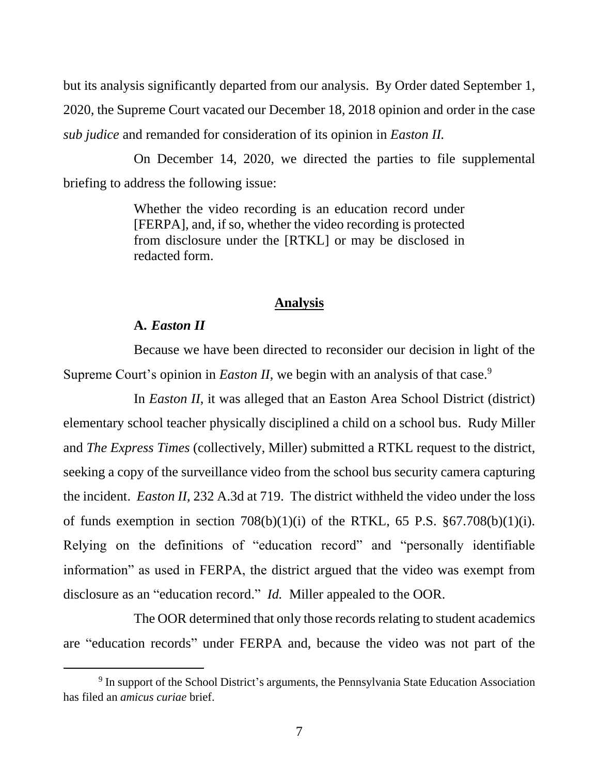but its analysis significantly departed from our analysis. By Order dated September 1, 2020, the Supreme Court vacated our December 18, 2018 opinion and order in the case *sub judice* and remanded for consideration of its opinion in *Easton II.*

On December 14, 2020, we directed the parties to file supplemental briefing to address the following issue:

> Whether the video recording is an education record under [FERPA], and, if so, whether the video recording is protected from disclosure under the [RTKL] or may be disclosed in redacted form.

#### **Analysis**

#### **A.** *Easton II*

Because we have been directed to reconsider our decision in light of the Supreme Court's opinion in *Easton II*, we begin with an analysis of that case.<sup>9</sup>

In *Easton II*, it was alleged that an Easton Area School District (district) elementary school teacher physically disciplined a child on a school bus. Rudy Miller and *The Express Times* (collectively, Miller) submitted a RTKL request to the district, seeking a copy of the surveillance video from the school bus security camera capturing the incident. *Easton II*, 232 A.3d at 719. The district withheld the video under the loss of funds exemption in section  $708(b)(1)(i)$  of the RTKL, 65 P.S.  $\S 67.708(b)(1)(i)$ . Relying on the definitions of "education record" and "personally identifiable information" as used in FERPA, the district argued that the video was exempt from disclosure as an "education record." *Id.* Miller appealed to the OOR.

The OOR determined that only those records relating to student academics are "education records" under FERPA and, because the video was not part of the

<sup>&</sup>lt;sup>9</sup> In support of the School District's arguments, the Pennsylvania State Education Association has filed an *amicus curiae* brief.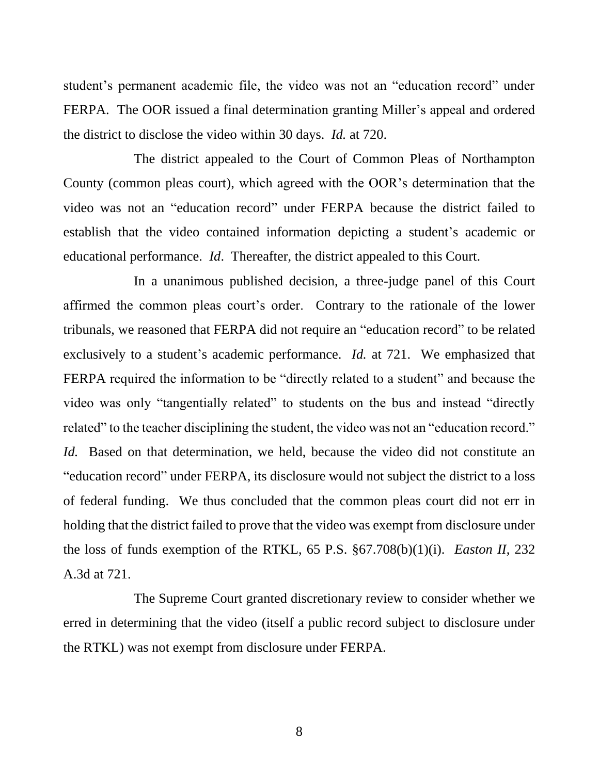student's permanent academic file, the video was not an "education record" under FERPA. The OOR issued a final determination granting Miller's appeal and ordered the district to disclose the video within 30 days. *Id.* at 720.

The district appealed to the Court of Common Pleas of Northampton County (common pleas court), which agreed with the OOR's determination that the video was not an "education record" under FERPA because the district failed to establish that the video contained information depicting a student's academic or educational performance. *Id*. Thereafter, the district appealed to this Court.

In a unanimous published decision, a three-judge panel of this Court affirmed the common pleas court's order. Contrary to the rationale of the lower tribunals, we reasoned that FERPA did not require an "education record" to be related exclusively to a student's academic performance. *Id.* at 721. We emphasized that FERPA required the information to be "directly related to a student" and because the video was only "tangentially related" to students on the bus and instead "directly related" to the teacher disciplining the student, the video was not an "education record." *Id.* Based on that determination, we held, because the video did not constitute an "education record" under FERPA, its disclosure would not subject the district to a loss of federal funding. We thus concluded that the common pleas court did not err in holding that the district failed to prove that the video was exempt from disclosure under the loss of funds exemption of the RTKL, 65 P.S. §67.708(b)(1)(i). *Easton II*, 232 A.3d at 721.

The Supreme Court granted discretionary review to consider whether we erred in determining that the video (itself a public record subject to disclosure under the RTKL) was not exempt from disclosure under FERPA.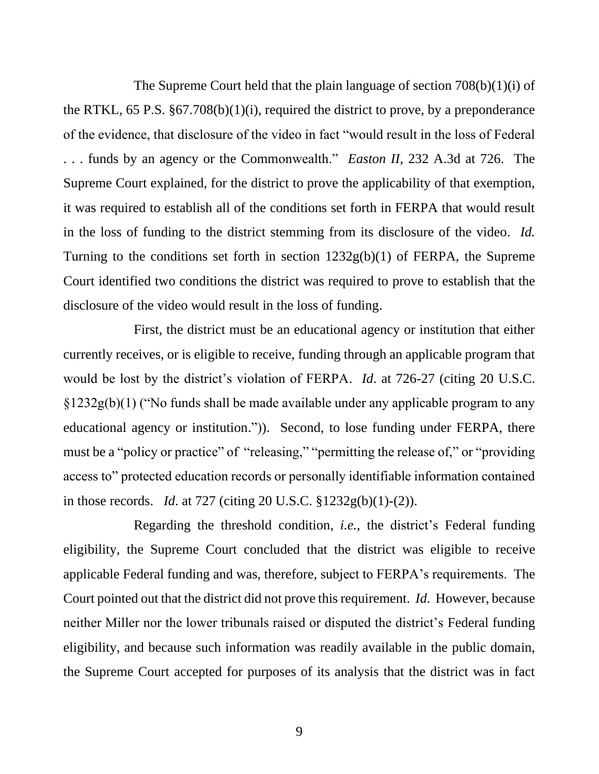The Supreme Court held that the plain language of section 708(b)(1)(i) of the RTKL, 65 P.S. §67.708(b)(1)(i), required the district to prove, by a preponderance of the evidence, that disclosure of the video in fact "would result in the loss of Federal . . . funds by an agency or the Commonwealth." *Easton II*, 232 A.3d at 726. The Supreme Court explained, for the district to prove the applicability of that exemption, it was required to establish all of the conditions set forth in FERPA that would result in the loss of funding to the district stemming from its disclosure of the video. *Id.* Turning to the conditions set forth in section 1232g(b)(1) of FERPA, the Supreme Court identified two conditions the district was required to prove to establish that the disclosure of the video would result in the loss of funding.

First, the district must be an educational agency or institution that either currently receives, or is eligible to receive, funding through an applicable program that would be lost by the district's violation of FERPA. *Id*. at 726-27 (citing 20 U.S.C. §1232g(b)(1) ("No funds shall be made available under any applicable program to any educational agency or institution.")). Second, to lose funding under FERPA, there must be a "policy or practice" of "releasing," "permitting the release of," or "providing access to" protected education records or personally identifiable information contained in those records. *Id*. at 727 (citing 20 U.S.C. §1232g(b)(1)-(2)).

Regarding the threshold condition, *i.e.*, the district's Federal funding eligibility, the Supreme Court concluded that the district was eligible to receive applicable Federal funding and was, therefore, subject to FERPA's requirements. The Court pointed out that the district did not prove this requirement. *Id*. However, because neither Miller nor the lower tribunals raised or disputed the district's Federal funding eligibility, and because such information was readily available in the public domain, the Supreme Court accepted for purposes of its analysis that the district was in fact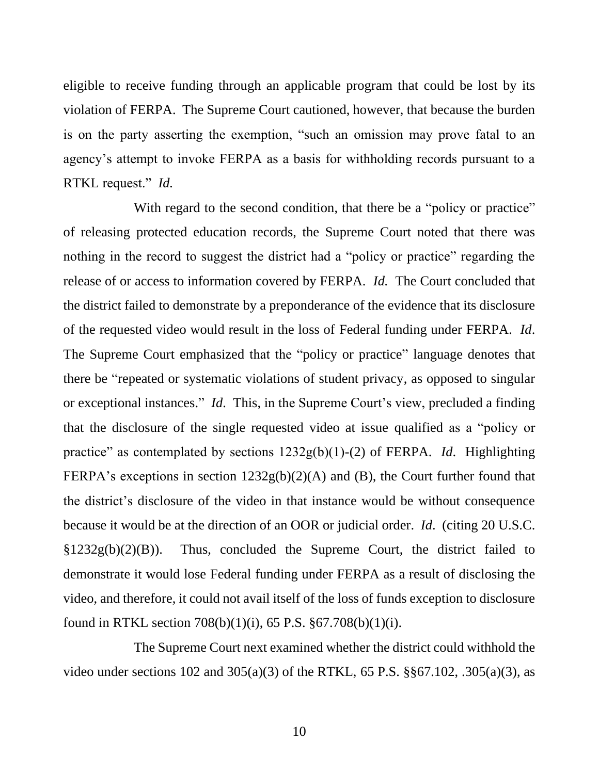eligible to receive funding through an applicable program that could be lost by its violation of FERPA. The Supreme Court cautioned, however, that because the burden is on the party asserting the exemption, "such an omission may prove fatal to an agency's attempt to invoke FERPA as a basis for withholding records pursuant to a RTKL request." *Id.*

With regard to the second condition, that there be a "policy or practice" of releasing protected education records, the Supreme Court noted that there was nothing in the record to suggest the district had a "policy or practice" regarding the release of or access to information covered by FERPA. *Id.* The Court concluded that the district failed to demonstrate by a preponderance of the evidence that its disclosure of the requested video would result in the loss of Federal funding under FERPA. *Id*. The Supreme Court emphasized that the "policy or practice" language denotes that there be "repeated or systematic violations of student privacy, as opposed to singular or exceptional instances." *Id*. This, in the Supreme Court's view, precluded a finding that the disclosure of the single requested video at issue qualified as a "policy or practice" as contemplated by sections 1232g(b)(1)-(2) of FERPA. *Id*. Highlighting FERPA's exceptions in section  $1232g(b)(2)(A)$  and (B), the Court further found that the district's disclosure of the video in that instance would be without consequence because it would be at the direction of an OOR or judicial order. *Id*. (citing 20 U.S.C.  $\S 1232g(b)(2)(B)$ . Thus, concluded the Supreme Court, the district failed to demonstrate it would lose Federal funding under FERPA as a result of disclosing the video, and therefore, it could not avail itself of the loss of funds exception to disclosure found in RTKL section 708(b)(1)(i), 65 P.S. §67.708(b)(1)(i).

The Supreme Court next examined whether the district could withhold the video under sections 102 and 305(a)(3) of the RTKL, 65 P.S. §§67.102, .305(a)(3), as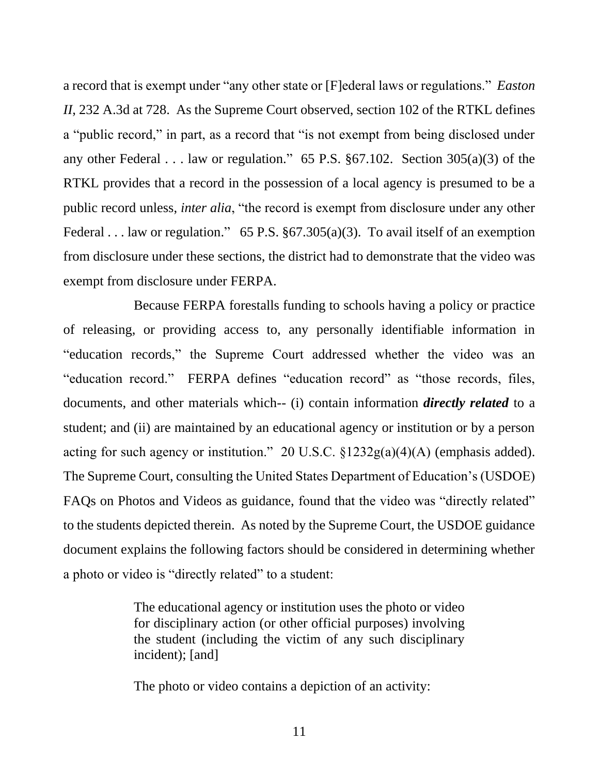a record that is exempt under "any other state or [F]ederal laws or regulations." *Easton II*, 232 A.3d at 728. As the Supreme Court observed, section 102 of the RTKL defines a "public record," in part, as a record that "is not exempt from being disclosed under any other Federal . . . law or regulation." 65 P.S. §67.102. Section 305(a)(3) of the RTKL provides that a record in the possession of a local agency is presumed to be a public record unless, *inter alia*, "the record is exempt from disclosure under any other Federal . . . law or regulation." 65 P.S.  $\S 67.305(a)(3)$ . To avail itself of an exemption from disclosure under these sections, the district had to demonstrate that the video was exempt from disclosure under FERPA.

Because FERPA forestalls funding to schools having a policy or practice of releasing, or providing access to, any personally identifiable information in "education records," the Supreme Court addressed whether the video was an "education record." FERPA defines "education record" as "those records, files, documents, and other materials which-- (i) contain information *directly related* to a student; and (ii) are maintained by an educational agency or institution or by a person acting for such agency or institution." 20 U.S.C.  $\S 1232g(a)(4)(A)$  (emphasis added). The Supreme Court, consulting the United States Department of Education's (USDOE) FAQs on Photos and Videos as guidance, found that the video was "directly related" to the students depicted therein. As noted by the Supreme Court, the USDOE guidance document explains the following factors should be considered in determining whether a photo or video is "directly related" to a student:

> The educational agency or institution uses the photo or video for disciplinary action (or other official purposes) involving the student (including the victim of any such disciplinary incident); [and]

The photo or video contains a depiction of an activity: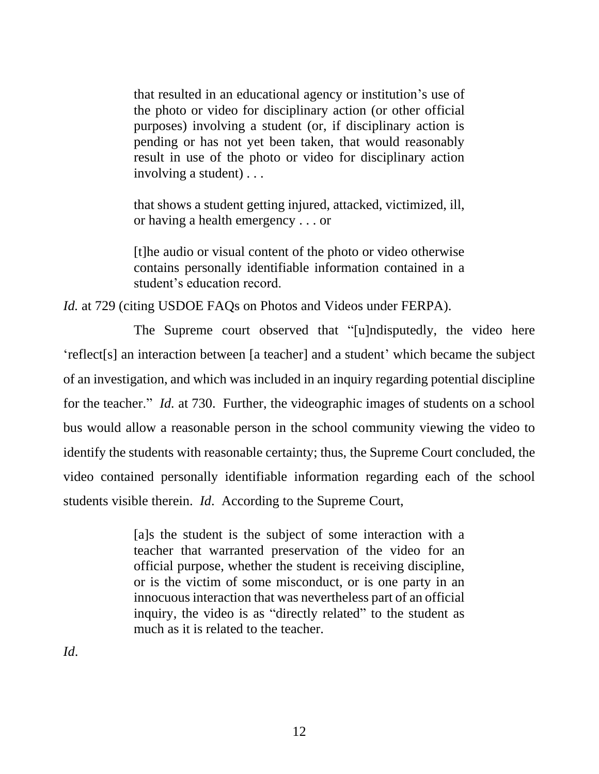that resulted in an educational agency or institution's use of the photo or video for disciplinary action (or other official purposes) involving a student (or, if disciplinary action is pending or has not yet been taken, that would reasonably result in use of the photo or video for disciplinary action involving a student) . . .

that shows a student getting injured, attacked, victimized, ill, or having a health emergency . . . or

[t]he audio or visual content of the photo or video otherwise contains personally identifiable information contained in a student's education record.

*Id.* at 729 (citing USDOE FAQs on Photos and Videos under FERPA).

The Supreme court observed that "[u]ndisputedly, the video here 'reflect[s] an interaction between [a teacher] and a student' which became the subject of an investigation, and which was included in an inquiry regarding potential discipline for the teacher." *Id.* at 730. Further, the videographic images of students on a school bus would allow a reasonable person in the school community viewing the video to identify the students with reasonable certainty; thus, the Supreme Court concluded, the video contained personally identifiable information regarding each of the school students visible therein. *Id*. According to the Supreme Court,

> [a]s the student is the subject of some interaction with a teacher that warranted preservation of the video for an official purpose, whether the student is receiving discipline, or is the victim of some misconduct, or is one party in an innocuous interaction that was nevertheless part of an official inquiry, the video is as "directly related" to the student as much as it is related to the teacher.

*Id*.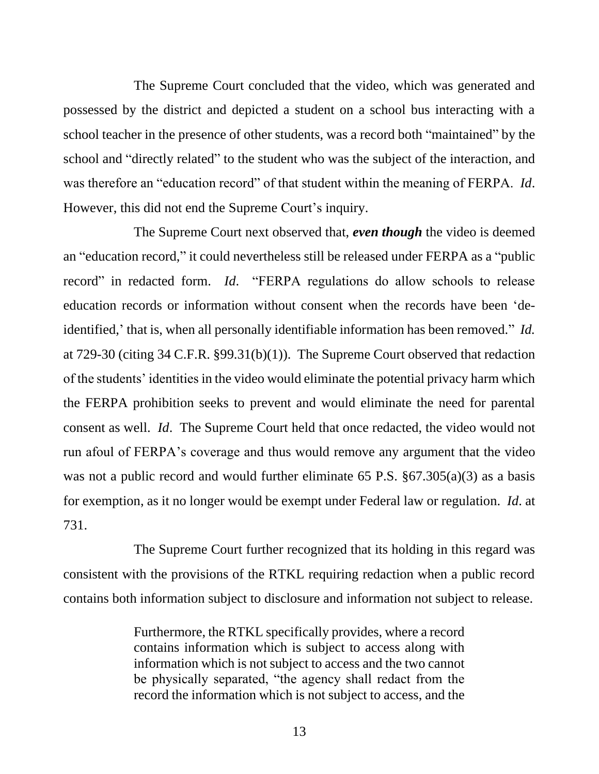The Supreme Court concluded that the video, which was generated and possessed by the district and depicted a student on a school bus interacting with a school teacher in the presence of other students, was a record both "maintained" by the school and "directly related" to the student who was the subject of the interaction, and was therefore an "education record" of that student within the meaning of FERPA. *Id*. However, this did not end the Supreme Court's inquiry.

The Supreme Court next observed that, *even though* the video is deemed an "education record," it could nevertheless still be released under FERPA as a "public record" in redacted form. *Id*. "FERPA regulations do allow schools to release education records or information without consent when the records have been 'deidentified,' that is, when all personally identifiable information has been removed." *Id.* at 729-30 (citing 34 C.F.R. §99.31(b)(1)). The Supreme Court observed that redaction of the students' identities in the video would eliminate the potential privacy harm which the FERPA prohibition seeks to prevent and would eliminate the need for parental consent as well. *Id*. The Supreme Court held that once redacted, the video would not run afoul of FERPA's coverage and thus would remove any argument that the video was not a public record and would further eliminate 65 P.S.  $\S 67.305(a)(3)$  as a basis for exemption, as it no longer would be exempt under Federal law or regulation. *Id*. at 731.

The Supreme Court further recognized that its holding in this regard was consistent with the provisions of the RTKL requiring redaction when a public record contains both information subject to disclosure and information not subject to release.

> Furthermore, the RTKL specifically provides, where a record contains information which is subject to access along with information which is not subject to access and the two cannot be physically separated, "the agency shall redact from the record the information which is not subject to access, and the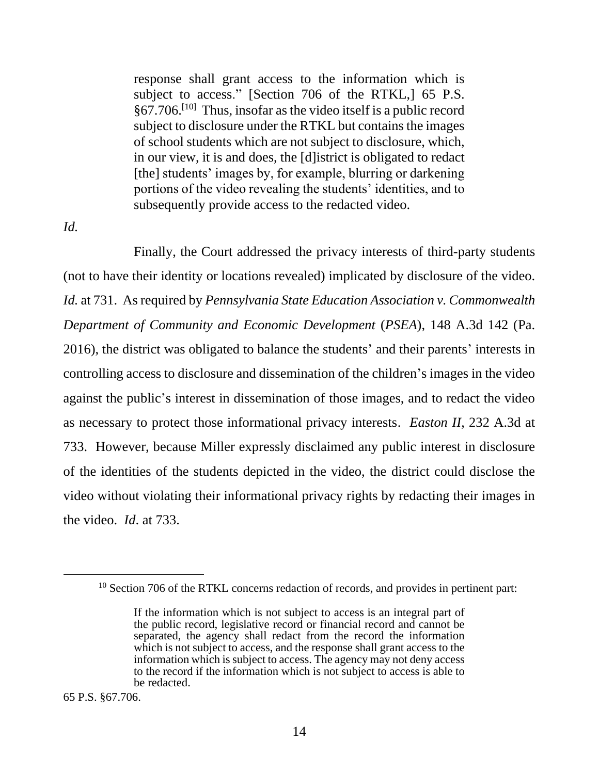response shall grant access to the information which is subject to access." [Section 706 of the RTKL,] 65 P.S. §67.706.[10] Thus, insofar as the video itself is a public record subject to disclosure under the RTKL but contains the images of school students which are not subject to disclosure, which, in our view, it is and does, the [d]istrict is obligated to redact [the] students' images by, for example, blurring or darkening portions of the video revealing the students' identities, and to subsequently provide access to the redacted video.

*Id.*

Finally, the Court addressed the privacy interests of third-party students (not to have their identity or locations revealed) implicated by disclosure of the video. *Id.* at 731. As required by *Pennsylvania State Education Association v. Commonwealth Department of Community and Economic Development* (*PSEA*), 148 A.3d 142 (Pa. 2016), the district was obligated to balance the students' and their parents' interests in controlling access to disclosure and dissemination of the children's images in the video against the public's interest in dissemination of those images, and to redact the video as necessary to protect those informational privacy interests. *Easton II*, 232 A.3d at 733. However, because Miller expressly disclaimed any public interest in disclosure of the identities of the students depicted in the video, the district could disclose the video without violating their informational privacy rights by redacting their images in the video. *Id*. at 733.

<sup>&</sup>lt;sup>10</sup> Section 706 of the RTKL concerns redaction of records, and provides in pertinent part:

If the information which is not subject to access is an integral part of the public record, legislative record or financial record and cannot be separated, the agency shall redact from the record the information which is not subject to access, and the response shall grant access to the information which is subject to access. The agency may not deny access to the record if the information which is not subject to access is able to be redacted.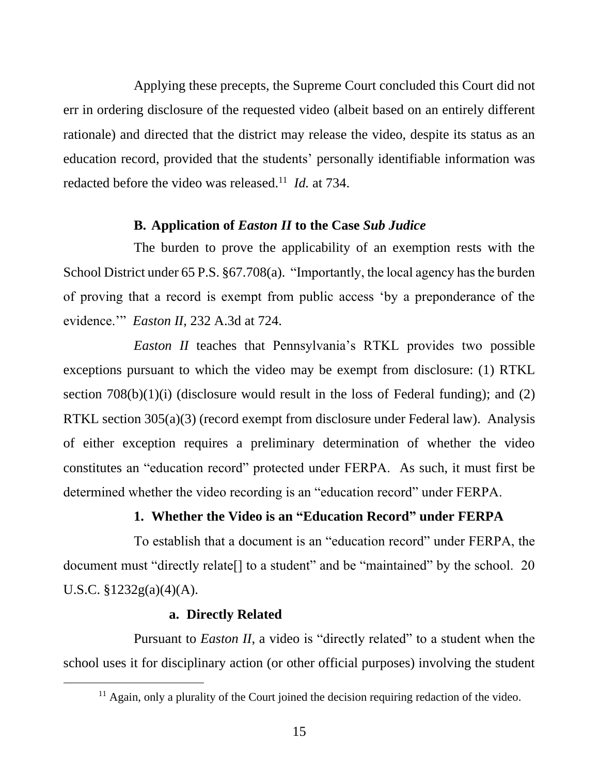Applying these precepts, the Supreme Court concluded this Court did not err in ordering disclosure of the requested video (albeit based on an entirely different rationale) and directed that the district may release the video, despite its status as an education record, provided that the students' personally identifiable information was redacted before the video was released.<sup>11</sup> *Id.* at 734.

## **B. Application of** *Easton II* **to the Case** *Sub Judice*

The burden to prove the applicability of an exemption rests with the School District under 65 P.S. §67.708(a). "Importantly, the local agency has the burden of proving that a record is exempt from public access 'by a preponderance of the evidence.'" *Easton II*, 232 A.3d at 724.

*Easton II* teaches that Pennsylvania's RTKL provides two possible exceptions pursuant to which the video may be exempt from disclosure: (1) RTKL section  $708(b)(1)(i)$  (disclosure would result in the loss of Federal funding); and (2) RTKL section 305(a)(3) (record exempt from disclosure under Federal law). Analysis of either exception requires a preliminary determination of whether the video constitutes an "education record" protected under FERPA. As such, it must first be determined whether the video recording is an "education record" under FERPA.

### **1. Whether the Video is an "Education Record" under FERPA**

To establish that a document is an "education record" under FERPA, the document must "directly relate[] to a student" and be "maintained" by the school. 20 U.S.C. §1232g(a)(4)(A).

#### **a. Directly Related**

Pursuant to *Easton II*, a video is "directly related" to a student when the school uses it for disciplinary action (or other official purposes) involving the student

<sup>&</sup>lt;sup>11</sup> Again, only a plurality of the Court joined the decision requiring redaction of the video.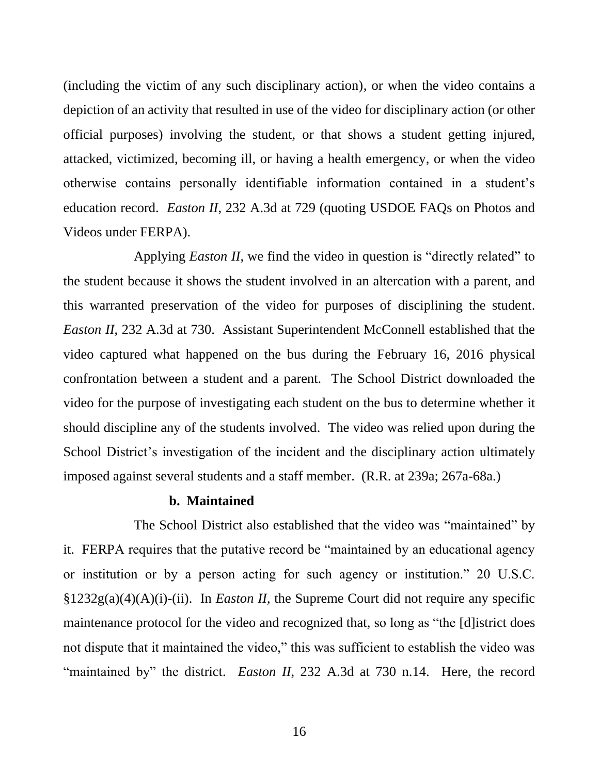(including the victim of any such disciplinary action), or when the video contains a depiction of an activity that resulted in use of the video for disciplinary action (or other official purposes) involving the student, or that shows a student getting injured, attacked, victimized, becoming ill, or having a health emergency, or when the video otherwise contains personally identifiable information contained in a student's education record. *Easton II*, 232 A.3d at 729 (quoting USDOE FAQs on Photos and Videos under FERPA).

Applying *Easton II*, we find the video in question is "directly related" to the student because it shows the student involved in an altercation with a parent, and this warranted preservation of the video for purposes of disciplining the student. *Easton II*, 232 A.3d at 730. Assistant Superintendent McConnell established that the video captured what happened on the bus during the February 16, 2016 physical confrontation between a student and a parent. The School District downloaded the video for the purpose of investigating each student on the bus to determine whether it should discipline any of the students involved. The video was relied upon during the School District's investigation of the incident and the disciplinary action ultimately imposed against several students and a staff member. (R.R. at 239a; 267a-68a.)

#### **b. Maintained**

The School District also established that the video was "maintained" by it. FERPA requires that the putative record be "maintained by an educational agency or institution or by a person acting for such agency or institution." 20 U.S.C. §1232g(a)(4)(A)(i)-(ii). In *Easton II*, the Supreme Court did not require any specific maintenance protocol for the video and recognized that, so long as "the [d]istrict does not dispute that it maintained the video," this was sufficient to establish the video was "maintained by" the district. *Easton II*, 232 A.3d at 730 n.14. Here, the record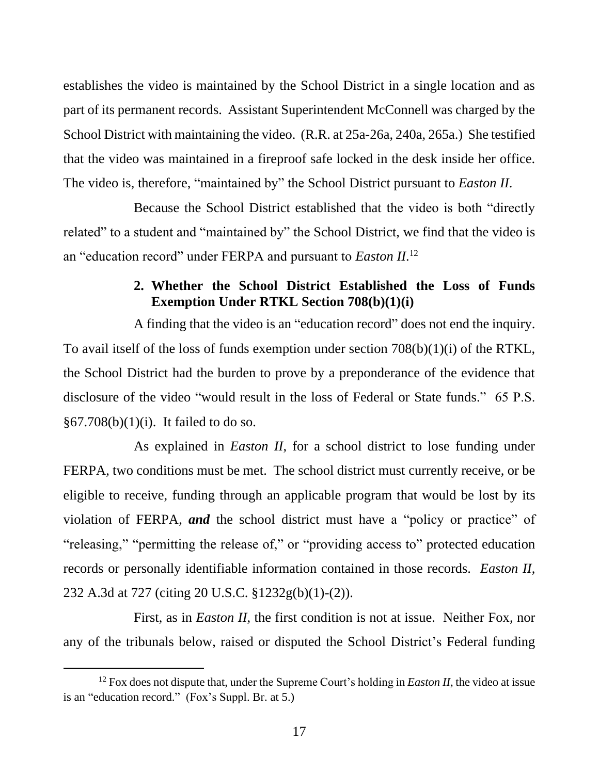establishes the video is maintained by the School District in a single location and as part of its permanent records. Assistant Superintendent McConnell was charged by the School District with maintaining the video. (R.R. at 25a-26a, 240a, 265a.) She testified that the video was maintained in a fireproof safe locked in the desk inside her office. The video is, therefore, "maintained by" the School District pursuant to *Easton II*.

Because the School District established that the video is both "directly related" to a student and "maintained by" the School District, we find that the video is an "education record" under FERPA and pursuant to *Easton II*. 12

# **2. Whether the School District Established the Loss of Funds Exemption Under RTKL Section 708(b)(1)(i)**

A finding that the video is an "education record" does not end the inquiry. To avail itself of the loss of funds exemption under section 708(b)(1)(i) of the RTKL, the School District had the burden to prove by a preponderance of the evidence that disclosure of the video "would result in the loss of Federal or State funds." 65 P.S. §67.708(b)(1)(i). It failed to do so.

As explained in *Easton II*, for a school district to lose funding under FERPA, two conditions must be met. The school district must currently receive, or be eligible to receive, funding through an applicable program that would be lost by its violation of FERPA, *and* the school district must have a "policy or practice" of "releasing," "permitting the release of," or "providing access to" protected education records or personally identifiable information contained in those records. *Easton II*, 232 A.3d at 727 (citing 20 U.S.C. §1232g(b)(1)-(2)).

First, as in *Easton II*, the first condition is not at issue. Neither Fox, nor any of the tribunals below, raised or disputed the School District's Federal funding

<sup>12</sup> Fox does not dispute that, under the Supreme Court's holding in *Easton II*, the video at issue is an "education record." (Fox's Suppl. Br. at 5.)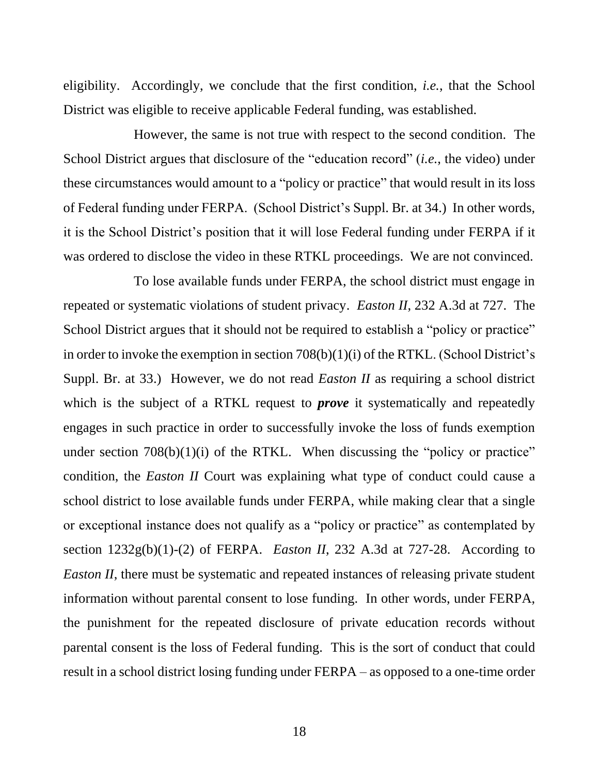eligibility. Accordingly, we conclude that the first condition, *i.e.*, that the School District was eligible to receive applicable Federal funding, was established.

However, the same is not true with respect to the second condition. The School District argues that disclosure of the "education record" (*i.e.*, the video) under these circumstances would amount to a "policy or practice" that would result in its loss of Federal funding under FERPA. (School District's Suppl. Br. at 34.) In other words, it is the School District's position that it will lose Federal funding under FERPA if it was ordered to disclose the video in these RTKL proceedings. We are not convinced.

To lose available funds under FERPA, the school district must engage in repeated or systematic violations of student privacy. *Easton II*, 232 A.3d at 727. The School District argues that it should not be required to establish a "policy or practice" in order to invoke the exemption in section 708(b)(1)(i) of the RTKL. (School District's Suppl. Br. at 33.) However, we do not read *Easton II* as requiring a school district which is the subject of a RTKL request to *prove* it systematically and repeatedly engages in such practice in order to successfully invoke the loss of funds exemption under section  $708(b)(1)(i)$  of the RTKL. When discussing the "policy or practice" condition, the *Easton II* Court was explaining what type of conduct could cause a school district to lose available funds under FERPA, while making clear that a single or exceptional instance does not qualify as a "policy or practice" as contemplated by section  $1232g(b)(1)-(2)$  of FERPA. *Easton II*, 232 A.3d at 727-28. According to *Easton II*, there must be systematic and repeated instances of releasing private student information without parental consent to lose funding. In other words, under FERPA, the punishment for the repeated disclosure of private education records without parental consent is the loss of Federal funding. This is the sort of conduct that could result in a school district losing funding under FERPA – as opposed to a one-time order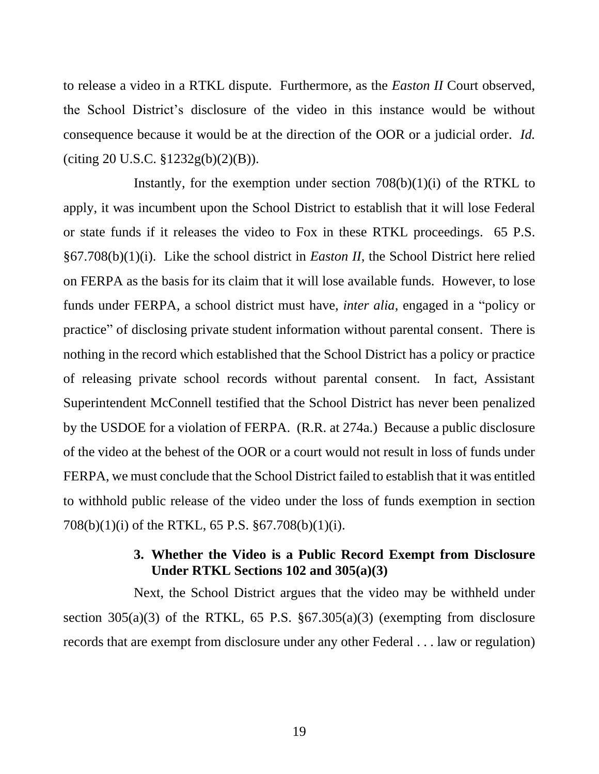to release a video in a RTKL dispute. Furthermore, as the *Easton II* Court observed, the School District's disclosure of the video in this instance would be without consequence because it would be at the direction of the OOR or a judicial order. *Id.* (citing 20 U.S.C. §1232g(b)(2)(B)).

Instantly, for the exemption under section  $708(b)(1)(i)$  of the RTKL to apply, it was incumbent upon the School District to establish that it will lose Federal or state funds if it releases the video to Fox in these RTKL proceedings. 65 P.S. §67.708(b)(1)(i). Like the school district in *Easton II*, the School District here relied on FERPA as the basis for its claim that it will lose available funds. However, to lose funds under FERPA, a school district must have, *inter alia*, engaged in a "policy or practice" of disclosing private student information without parental consent. There is nothing in the record which established that the School District has a policy or practice of releasing private school records without parental consent. In fact, Assistant Superintendent McConnell testified that the School District has never been penalized by the USDOE for a violation of FERPA. (R.R. at 274a.) Because a public disclosure of the video at the behest of the OOR or a court would not result in loss of funds under FERPA, we must conclude that the School District failed to establish that it was entitled to withhold public release of the video under the loss of funds exemption in section 708(b)(1)(i) of the RTKL, 65 P.S. §67.708(b)(1)(i).

# **3. Whether the Video is a Public Record Exempt from Disclosure Under RTKL Sections 102 and 305(a)(3)**

Next, the School District argues that the video may be withheld under section  $305(a)(3)$  of the RTKL, 65 P.S.  $\S 67.305(a)(3)$  (exempting from disclosure records that are exempt from disclosure under any other Federal . . . law or regulation)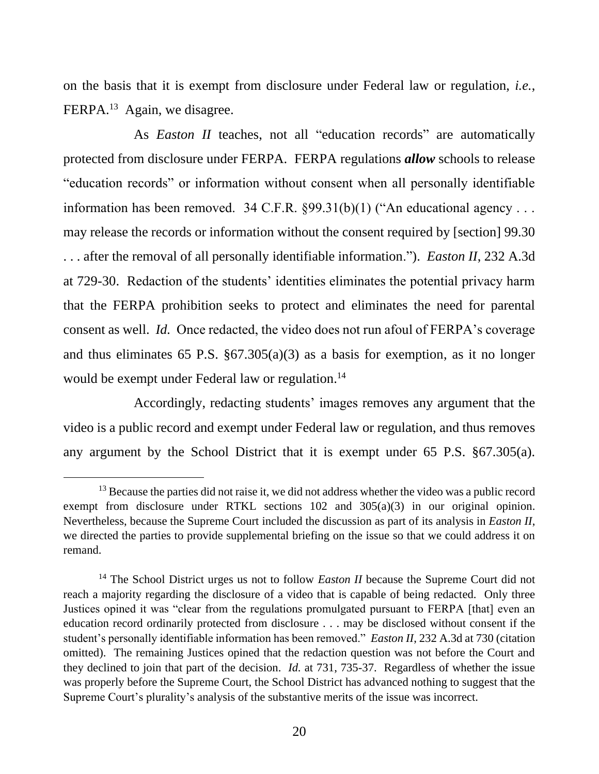on the basis that it is exempt from disclosure under Federal law or regulation, *i.e.*, FERPA.<sup>13</sup> Again, we disagree.

As *Easton II* teaches, not all "education records" are automatically protected from disclosure under FERPA. FERPA regulations *allow* schools to release "education records" or information without consent when all personally identifiable information has been removed. 34 C.F.R.  $\S 99.31(b)(1)$  ("An educational agency ... may release the records or information without the consent required by [section] 99.30 . . . after the removal of all personally identifiable information."). *Easton II*, 232 A.3d at 729-30. Redaction of the students' identities eliminates the potential privacy harm that the FERPA prohibition seeks to protect and eliminates the need for parental consent as well. *Id.* Once redacted, the video does not run afoul of FERPA's coverage and thus eliminates 65 P.S. §67.305(a)(3) as a basis for exemption, as it no longer would be exempt under Federal law or regulation. 14

Accordingly, redacting students' images removes any argument that the video is a public record and exempt under Federal law or regulation, and thus removes any argument by the School District that it is exempt under 65 P.S. §67.305(a).

<sup>&</sup>lt;sup>13</sup> Because the parties did not raise it, we did not address whether the video was a public record exempt from disclosure under RTKL sections 102 and 305(a)(3) in our original opinion. Nevertheless, because the Supreme Court included the discussion as part of its analysis in *Easton II*, we directed the parties to provide supplemental briefing on the issue so that we could address it on remand.

<sup>&</sup>lt;sup>14</sup> The School District urges us not to follow *Easton II* because the Supreme Court did not reach a majority regarding the disclosure of a video that is capable of being redacted. Only three Justices opined it was "clear from the regulations promulgated pursuant to FERPA [that] even an education record ordinarily protected from disclosure . . . may be disclosed without consent if the student's personally identifiable information has been removed." *Easton II*, 232 A.3d at 730 (citation omitted). The remaining Justices opined that the redaction question was not before the Court and they declined to join that part of the decision. *Id.* at 731, 735-37. Regardless of whether the issue was properly before the Supreme Court, the School District has advanced nothing to suggest that the Supreme Court's plurality's analysis of the substantive merits of the issue was incorrect.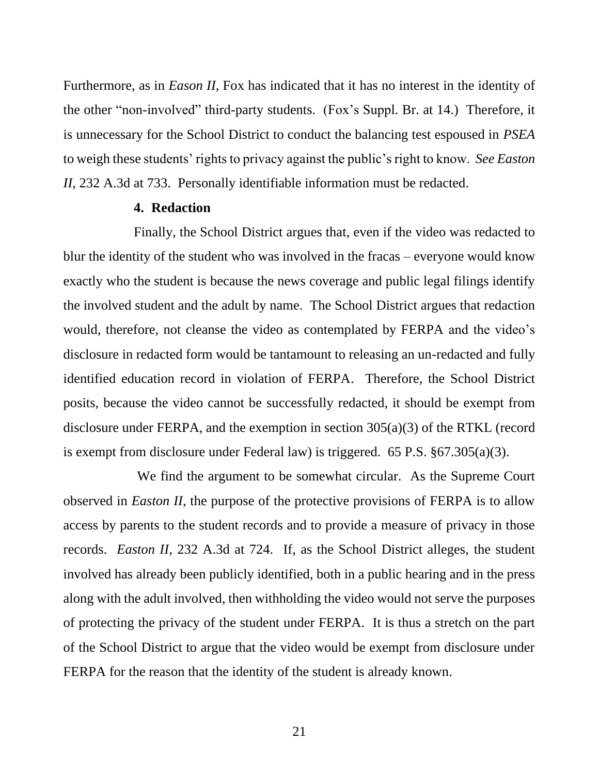Furthermore, as in *Eason II*, Fox has indicated that it has no interest in the identity of the other "non-involved" third-party students. (Fox's Suppl. Br. at 14.) Therefore, it is unnecessary for the School District to conduct the balancing test espoused in *PSEA* to weigh these students' rights to privacy against the public's right to know. *See Easton II*, 232 A.3d at 733. Personally identifiable information must be redacted.

#### **4. Redaction**

Finally, the School District argues that, even if the video was redacted to blur the identity of the student who was involved in the fracas – everyone would know exactly who the student is because the news coverage and public legal filings identify the involved student and the adult by name. The School District argues that redaction would, therefore, not cleanse the video as contemplated by FERPA and the video's disclosure in redacted form would be tantamount to releasing an un-redacted and fully identified education record in violation of FERPA. Therefore, the School District posits, because the video cannot be successfully redacted, it should be exempt from disclosure under FERPA, and the exemption in section 305(a)(3) of the RTKL (record is exempt from disclosure under Federal law) is triggered. 65 P.S. §67.305(a)(3).

We find the argument to be somewhat circular. As the Supreme Court observed in *Easton II*, the purpose of the protective provisions of FERPA is to allow access by parents to the student records and to provide a measure of privacy in those records. *Easton II*, 232 A.3d at 724. If, as the School District alleges, the student involved has already been publicly identified, both in a public hearing and in the press along with the adult involved, then withholding the video would not serve the purposes of protecting the privacy of the student under FERPA. It is thus a stretch on the part of the School District to argue that the video would be exempt from disclosure under FERPA for the reason that the identity of the student is already known.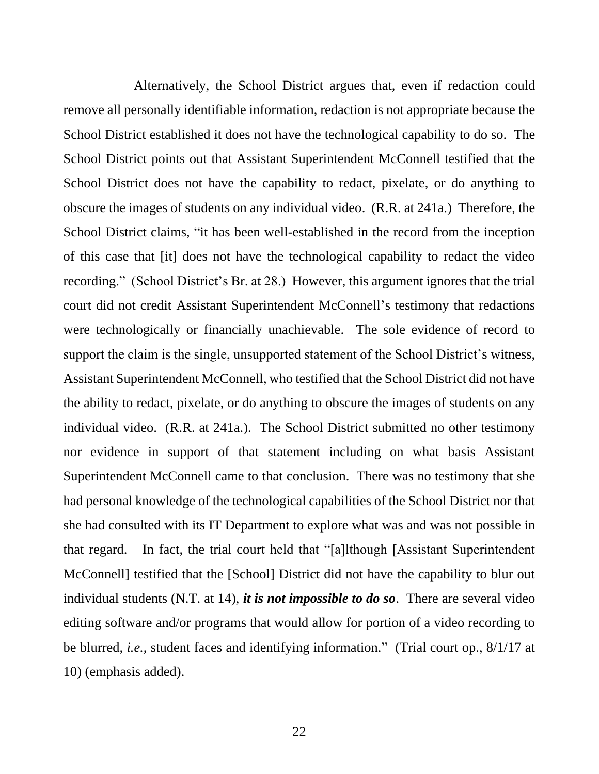Alternatively, the School District argues that, even if redaction could remove all personally identifiable information, redaction is not appropriate because the School District established it does not have the technological capability to do so. The School District points out that Assistant Superintendent McConnell testified that the School District does not have the capability to redact, pixelate, or do anything to obscure the images of students on any individual video. (R.R. at 241a.) Therefore, the School District claims, "it has been well-established in the record from the inception of this case that [it] does not have the technological capability to redact the video recording." (School District's Br. at 28.) However, this argument ignores that the trial court did not credit Assistant Superintendent McConnell's testimony that redactions were technologically or financially unachievable. The sole evidence of record to support the claim is the single, unsupported statement of the School District's witness, Assistant Superintendent McConnell, who testified that the School District did not have the ability to redact, pixelate, or do anything to obscure the images of students on any individual video. (R.R. at 241a.). The School District submitted no other testimony nor evidence in support of that statement including on what basis Assistant Superintendent McConnell came to that conclusion. There was no testimony that she had personal knowledge of the technological capabilities of the School District nor that she had consulted with its IT Department to explore what was and was not possible in that regard. In fact, the trial court held that "[a]lthough [Assistant Superintendent McConnell] testified that the [School] District did not have the capability to blur out individual students (N.T. at 14), *it is not impossible to do so*. There are several video editing software and/or programs that would allow for portion of a video recording to be blurred, *i.e.*, student faces and identifying information." (Trial court op., 8/1/17 at 10) (emphasis added).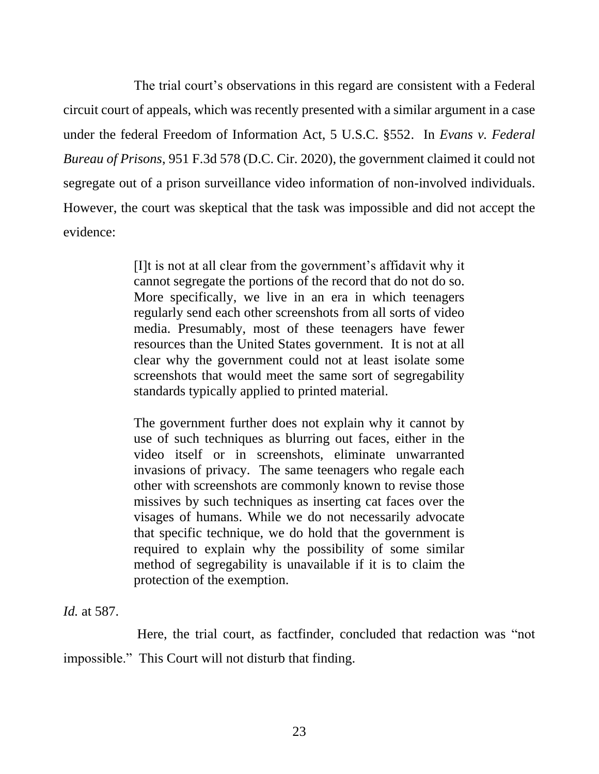The trial court's observations in this regard are consistent with a Federal circuit court of appeals, which was recently presented with a similar argument in a case under the federal Freedom of Information Act, 5 U.S.C. §552. In *Evans v. Federal Bureau of Prisons*, 951 F.3d 578 (D.C. Cir. 2020), the government claimed it could not segregate out of a prison surveillance video information of non-involved individuals. However, the court was skeptical that the task was impossible and did not accept the evidence:

> [I]t is not at all clear from the government's affidavit why it cannot segregate the portions of the record that do not do so. More specifically, we live in an era in which teenagers regularly send each other screenshots from all sorts of video media. Presumably, most of these teenagers have fewer resources than the United States government. It is not at all clear why the government could not at least isolate some screenshots that would meet the same sort of segregability standards typically applied to printed material.

> The government further does not explain why it cannot by use of such techniques as blurring out faces, either in the video itself or in screenshots, eliminate unwarranted invasions of privacy. The same teenagers who regale each other with screenshots are commonly known to revise those missives by such techniques as inserting cat faces over the visages of humans. While we do not necessarily advocate that specific technique, we do hold that the government is required to explain why the possibility of some similar method of segregability is unavailable if it is to claim the protection of the exemption.

*Id.* at 587.

Here, the trial court, as factfinder, concluded that redaction was "not impossible." This Court will not disturb that finding.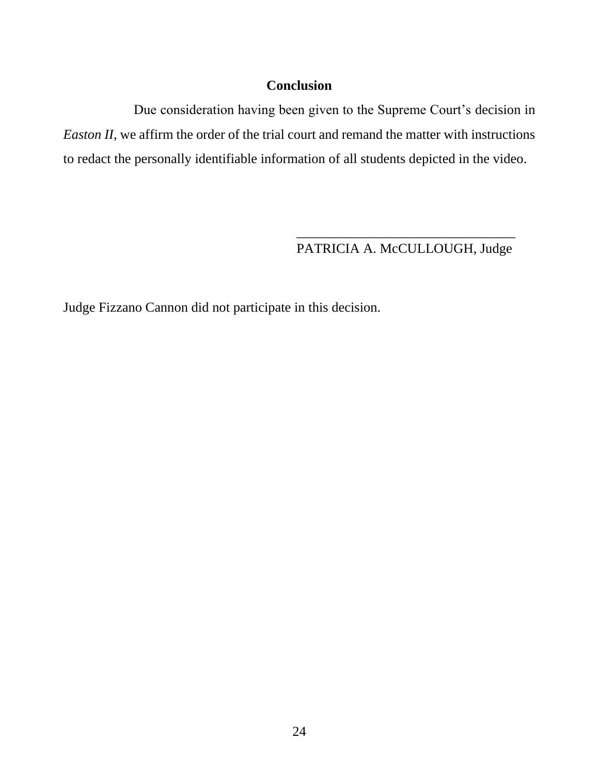# **Conclusion**

Due consideration having been given to the Supreme Court's decision in *Easton II*, we affirm the order of the trial court and remand the matter with instructions to redact the personally identifiable information of all students depicted in the video.

> \_\_\_\_\_\_\_\_\_\_\_\_\_\_\_\_\_\_\_\_\_\_\_\_\_\_\_\_\_\_\_\_ PATRICIA A. McCULLOUGH, Judge

Judge Fizzano Cannon did not participate in this decision.